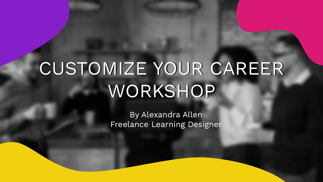## CUSTOMIZE YOUR CAREER WORKSHOP

By Alexandra Allen Freelance Learning Designer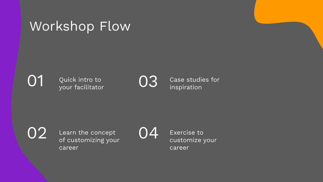## Workshop Flow

Quick intro to  $\bigcirc$  03

Case studies for inspiration

01

Learn the concept  $02$  Learn the concept  $04$ career



Exercise to customize your career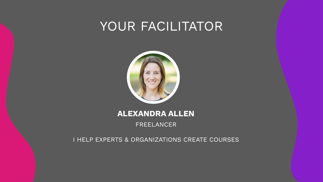## YOUR FACILITATOR



#### **ALEXANDRA ALLEN**

FREELANCER

I HELP EXPERTS & ORGANIZATIONS CREATE COURSES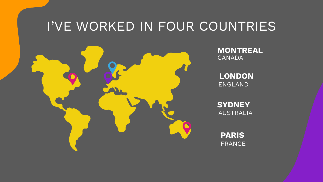## I'VE WORKED IN FOUR COUNTRIES



**MONTREAL** CANADA

**LONDON** ENGLAND

**SYDNEY** AUSTRALIA

**PARIS** FRANCE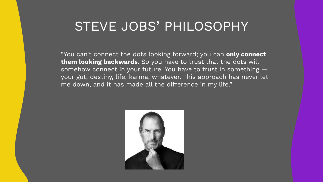## STEVE JOBS' PHILOSOPHY

"You can't connect the dots looking forward; you can **only connect them looking backwards**. So you have to trust that the dots will somehow connect in your future. You have to trust in something your gut, destiny, life, karma, whatever. This approach has never let me down, and it has made all the difference in my life."

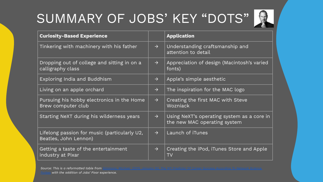## SUMMARY OF JOBS' KEY "DOTS"



| <b>Curiosity-Based Experience</b>                                     |               | <b>Application</b>                                                         |
|-----------------------------------------------------------------------|---------------|----------------------------------------------------------------------------|
| Tinkering with machinery with his father                              | $\rightarrow$ | Understanding craftsmanship and<br>attention to detail                     |
| Dropping out of college and sitting in on a<br>calligraphy class      | $\rightarrow$ | Appreciation of design (Macintosh's varied<br>fonts)                       |
| Exploring India and Buddhism                                          | $\rightarrow$ | Apple's simple aesthetic                                                   |
| Living on an apple orchard                                            | $\rightarrow$ | The inspiration for the MAC logo                                           |
| Pursuing his hobby electronics in the Home<br>Brew computer club      | $\rightarrow$ | Creating the first MAC with Steve<br>Wozniack                              |
| Starting NeXT during his wilderness years                             | $\rightarrow$ | Using NeXT's operating system as a core in<br>the new MAC operating system |
| Lifelong passion for music (particularly U2,<br>Beatles, John Lennon) | $\rightarrow$ | Launch of iTunes                                                           |
| Getting a taste of the entertainment<br>industry at Pixar             | $\rightarrow$ | Creating the iPod, iTunes Store and Apple<br>TV                            |

*Source: This is a reformatted table from [Simmons, Michael. \(2015, January 15\). The №1 Predictor Of Career Success According To Network Science.](https://www.forbes.com/sites/michaelsimmons/2015/01/15/this-is-the-1-predictor-of-career-success-according-to-network-science/?sh=41ed0f70e829) with the addition of Jobs' Pixar experience.*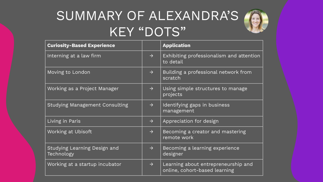## SUMMARY OF ALEXANDRA'S KEY "DOTS"



| <b>Curiosity-Based Experience</b>          |               | <b>Application</b>                                                   |
|--------------------------------------------|---------------|----------------------------------------------------------------------|
| Interning at a law firm                    | $\rightarrow$ | Exhibiting professionalism and attention<br>to detail                |
| Moving to London                           | $\rightarrow$ | Building a professional network from<br>scratch                      |
| Working as a Project Manager               | $\rightarrow$ | Using simple structures to manage<br>projects                        |
| <b>Studying Management Consulting</b>      | $\rightarrow$ | Identifying gaps in business<br>management                           |
| Living in Paris                            | $\rightarrow$ | Appreciation for design                                              |
| Working at Ubisoft                         | $\rightarrow$ | Becoming a creator and mastering<br>remote work                      |
| Studying Learning Design and<br>Technology | $\rightarrow$ | Becoming a learning experience<br>designer                           |
| Working at a startup incubator             | $\rightarrow$ | Learning about entrepreneurship and<br>online, cohort-based learning |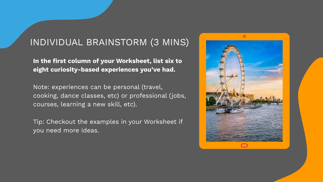#### INDIVIDUAL BRAINSTORM (3 MINS)

**In the first column of your Worksheet, list six to eight curiosity-based experiences you've had.**

Note: experiences can be personal (travel, cooking, dance classes, etc) or professional (jobs, courses, learning a new skill, etc).

Tip: Checkout the examples in your Worksheet if you need more ideas.

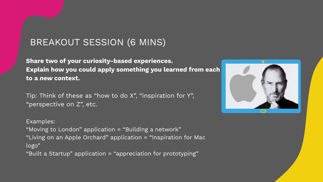#### BREAKOUT SESSION (6 MINS)

**Share two of your curiosity-based experiences. Explain how you could apply something you learned from each to a** *new* **context.** 

Tip: Think of these as "how to do X", "inspiration for Y", "perspective on Z", etc.

Examples: "Moving to London" application = "Building a network" "Living on an Apple Orchard" application = "Inspiration for Mac logo"

"Built a Startup" application = "appreciation for prototyping"

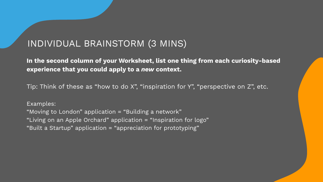#### INDIVIDUAL BRAINSTORM (3 MINS)

**In the second column of your Worksheet, list one thing from each curiosity-based experience that you could apply to a** *new* **context.** 

Tip: Think of these as "how to do X", "inspiration for Y", "perspective on Z", etc.

Examples: "Moving to London" application = "Building a network" "Living on an Apple Orchard" application = "Inspiration for logo" "Built a Startup" application = "appreciation for prototyping"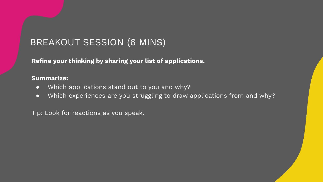#### BREAKOUT SESSION (6 MINS)

**Refine your thinking by sharing your list of applications.** 

#### **Summarize:**

- Which applications stand out to you and why?
- Which experiences are you struggling to draw applications from and why?

Tip: Look for reactions as you speak.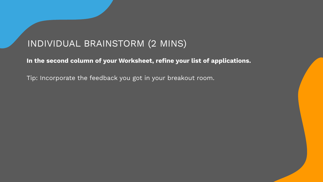#### INDIVIDUAL BRAINSTORM (2 MINS)

**In the second column of your Worksheet, refine your list of applications.**

Tip: Incorporate the feedback you got in your breakout room.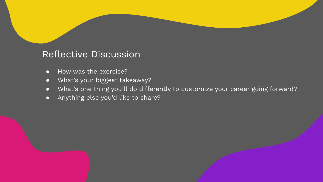#### Reflective Discussion

- How was the exercise?
- What's your biggest takeaway?
- What's one thing you'll do differently to customize your career going forward?
- Anything else you'd like to share?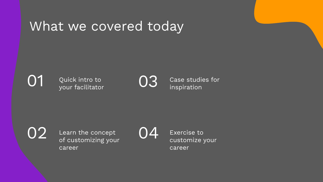## What we covered today

Quick intro to  $\bigcirc$  03

Case studies for inspiration

01

Learn the concept of customizing your career  $02$  Learn the concept  $04$ 

Exercise to customize your career